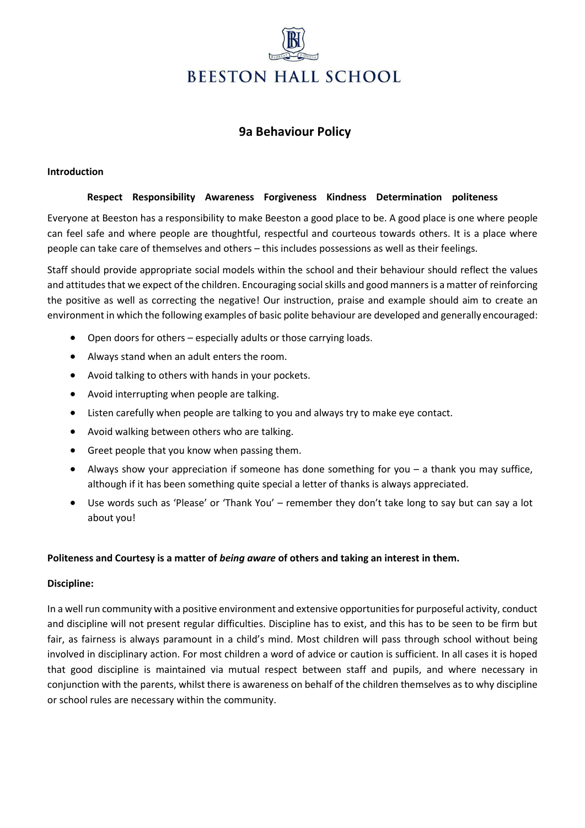# **BEESTON HALL SCHOOL**

# **9a Behaviour Policy**

### **Introduction**

### **Respect Responsibility Awareness Forgiveness Kindness Determination politeness**

Everyone at Beeston has a responsibility to make Beeston a good place to be. A good place is one where people can feel safe and where people are thoughtful, respectful and courteous towards others. It is a place where people can take care of themselves and others – this includes possessions as well as their feelings.

Staff should provide appropriate social models within the school and their behaviour should reflect the values and attitudes that we expect of the children. Encouraging social skills and good manners is a matter of reinforcing the positive as well as correcting the negative! Our instruction, praise and example should aim to create an environment in which the following examples of basic polite behaviour are developed and generally encouraged:

- Open doors for others especially adults or those carrying loads.
- Always stand when an adult enters the room.
- Avoid talking to others with hands in your pockets.
- Avoid interrupting when people are talking.
- Listen carefully when people are talking to you and always try to make eye contact.
- Avoid walking between others who are talking.
- Greet people that you know when passing them.
- Always show your appreciation if someone has done something for you  $-$  a thank you may suffice, although if it has been something quite special a letter of thanks is always appreciated.
- Use words such as 'Please' or 'Thank You' remember they don't take long to say but can say a lot about you!

# **Politeness and Courtesy is a matter of** *being aware* **of others and taking an interest in them.**

### **Discipline:**

In a well run community with a positive environment and extensive opportunities for purposeful activity, conduct and discipline will not present regular difficulties. Discipline has to exist, and this has to be seen to be firm but fair, as fairness is always paramount in a child's mind. Most children will pass through school without being involved in disciplinary action. For most children a word of advice or caution is sufficient. In all cases it is hoped that good discipline is maintained via mutual respect between staff and pupils, and where necessary in conjunction with the parents, whilst there is awareness on behalf of the children themselves as to why discipline or school rules are necessary within the community.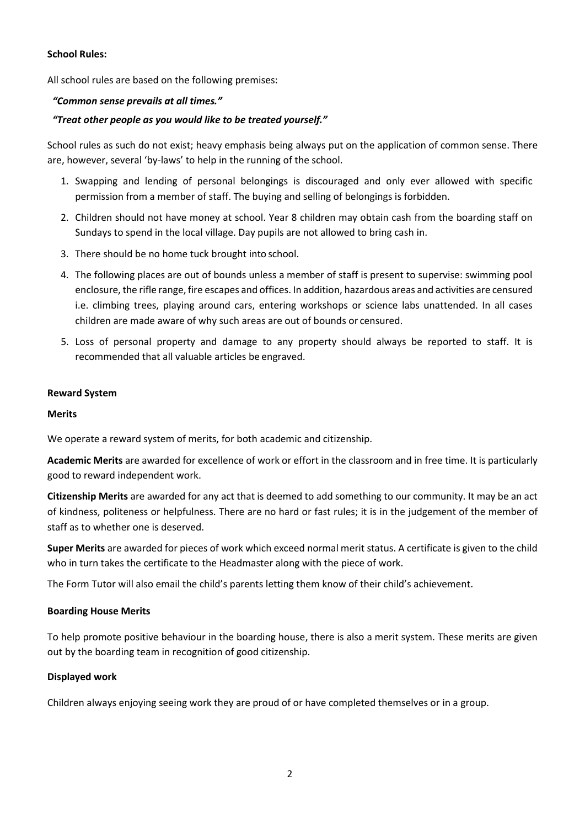### **School Rules:**

All school rules are based on the following premises:

### *"Common sense prevails at all times."*

### *"Treat other people as you would like to be treated yourself."*

School rules as such do not exist; heavy emphasis being always put on the application of common sense. There are, however, several 'by-laws' to help in the running of the school.

- 1. Swapping and lending of personal belongings is discouraged and only ever allowed with specific permission from a member of staff. The buying and selling of belongings is forbidden.
- 2. Children should not have money at school. Year 8 children may obtain cash from the boarding staff on Sundays to spend in the local village. Day pupils are not allowed to bring cash in.
- 3. There should be no home tuck brought into school.
- 4. The following places are out of bounds unless a member of staff is present to supervise: swimming pool enclosure, the rifle range, fire escapes and offices. In addition, hazardous areas and activities are censured i.e. climbing trees, playing around cars, entering workshops or science labs unattended. In all cases children are made aware of why such areas are out of bounds or censured.
- 5. Loss of personal property and damage to any property should always be reported to staff. It is recommended that all valuable articles be engraved.

### **Reward System**

### **Merits**

We operate a reward system of merits, for both academic and citizenship.

**Academic Merits** are awarded for excellence of work or effort in the classroom and in free time. It is particularly good to reward independent work.

**Citizenship Merits** are awarded for any act that is deemed to add something to our community. It may be an act of kindness, politeness or helpfulness. There are no hard or fast rules; it is in the judgement of the member of staff as to whether one is deserved.

**Super Merits** are awarded for pieces of work which exceed normal merit status. A certificate is given to the child who in turn takes the certificate to the Headmaster along with the piece of work.

The Form Tutor will also email the child's parents letting them know of their child's achievement.

# **Boarding House Merits**

To help promote positive behaviour in the boarding house, there is also a merit system. These merits are given out by the boarding team in recognition of good citizenship.

### **Displayed work**

Children always enjoying seeing work they are proud of or have completed themselves or in a group.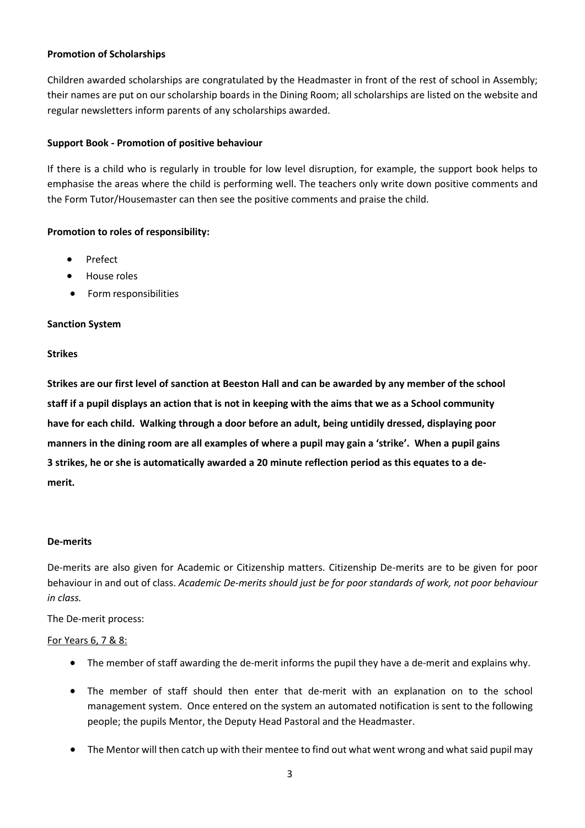### **Promotion of Scholarships**

Children awarded scholarships are congratulated by the Headmaster in front of the rest of school in Assembly; their names are put on our scholarship boards in the Dining Room; all scholarships are listed on the website and regular newsletters inform parents of any scholarships awarded.

### **Support Book - Promotion of positive behaviour**

If there is a child who is regularly in trouble for low level disruption, for example, the support book helps to emphasise the areas where the child is performing well. The teachers only write down positive comments and the Form Tutor/Housemaster can then see the positive comments and praise the child.

### **Promotion to roles of responsibility:**

- Prefect
- House roles
- Form responsibilities

### **Sanction System**

### **Strikes**

**Strikes are our first level of sanction at Beeston Hall and can be awarded by any member of the school staff if a pupil displays an action that is not in keeping with the aims that we as a School community have for each child. Walking through a door before an adult, being untidily dressed, displaying poor manners in the dining room are all examples of where a pupil may gain a 'strike'. When a pupil gains 3 strikes, he or she is automatically awarded a 20 minute reflection period as this equates to a demerit.** 

### **De-merits**

De-merits are also given for Academic or Citizenship matters. Citizenship De-merits are to be given for poor behaviour in and out of class. *Academic De-merits should just be for poor standards of work, not poor behaviour in class.*

The De-merit process:

### For Years 6, 7 & 8:

- The member of staff awarding the de-merit informs the pupil they have a de-merit and explains why.
- The member of staff should then enter that de-merit with an explanation on to the school management system. Once entered on the system an automated notification is sent to the following people; the pupils Mentor, the Deputy Head Pastoral and the Headmaster.
- The Mentor will then catch up with their mentee to find out what went wrong and what said pupil may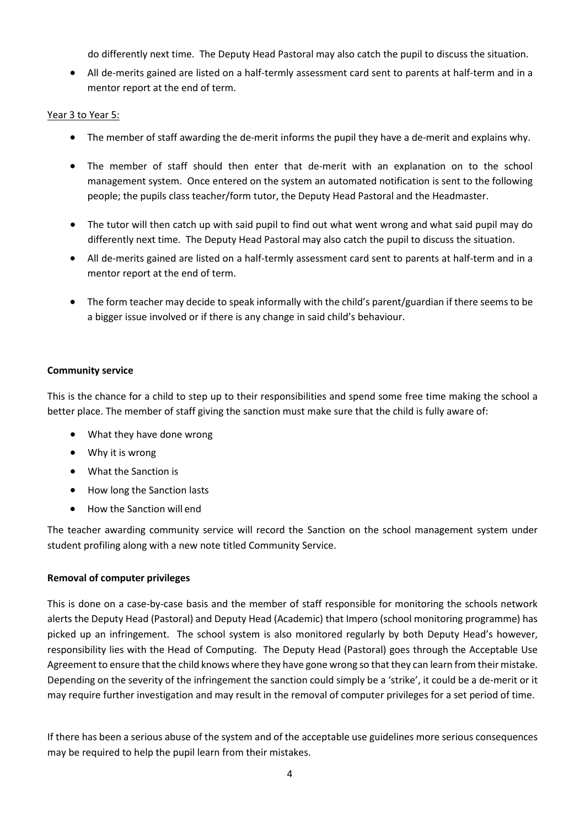do differently next time. The Deputy Head Pastoral may also catch the pupil to discuss the situation.

• All de-merits gained are listed on a half-termly assessment card sent to parents at half-term and in a mentor report at the end of term.

# Year 3 to Year 5:

- The member of staff awarding the de-merit informs the pupil they have a de-merit and explains why.
- The member of staff should then enter that de-merit with an explanation on to the school management system. Once entered on the system an automated notification is sent to the following people; the pupils class teacher/form tutor, the Deputy Head Pastoral and the Headmaster.
- The tutor will then catch up with said pupil to find out what went wrong and what said pupil may do differently next time. The Deputy Head Pastoral may also catch the pupil to discuss the situation.
- All de-merits gained are listed on a half-termly assessment card sent to parents at half-term and in a mentor report at the end of term.
- The form teacher may decide to speak informally with the child's parent/guardian if there seems to be a bigger issue involved or if there is any change in said child's behaviour.

### **Community service**

This is the chance for a child to step up to their responsibilities and spend some free time making the school a better place. The member of staff giving the sanction must make sure that the child is fully aware of:

- What they have done wrong
- Why it is wrong
- What the Sanction is
- How long the Sanction lasts
- How the Sanction will end

The teacher awarding community service will record the Sanction on the school management system under student profiling along with a new note titled Community Service.

# **Removal of computer privileges**

This is done on a case-by-case basis and the member of staff responsible for monitoring the schools network alerts the Deputy Head (Pastoral) and Deputy Head (Academic) that Impero (school monitoring programme) has picked up an infringement. The school system is also monitored regularly by both Deputy Head's however, responsibility lies with the Head of Computing. The Deputy Head (Pastoral) goes through the Acceptable Use Agreement to ensure that the child knows where they have gone wrong so that they can learn from their mistake. Depending on the severity of the infringement the sanction could simply be a 'strike', it could be a de-merit or it may require further investigation and may result in the removal of computer privileges for a set period of time.

If there has been a serious abuse of the system and of the acceptable use guidelines more serious consequences may be required to help the pupil learn from their mistakes.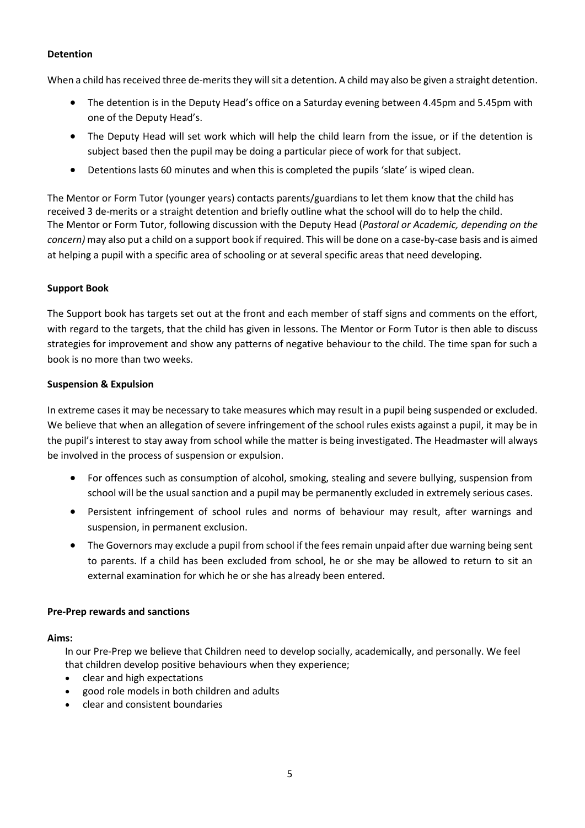# **Detention**

When a child has received three de-merits they will sit a detention. A child may also be given a straight detention.

- The detention is in the Deputy Head's office on a Saturday evening between 4.45pm and 5.45pm with one of the Deputy Head's.
- The Deputy Head will set work which will help the child learn from the issue, or if the detention is subject based then the pupil may be doing a particular piece of work for that subject.
- Detentions lasts 60 minutes and when this is completed the pupils 'slate' is wiped clean.

The Mentor or Form Tutor (younger years) contacts parents/guardians to let them know that the child has received 3 de-merits or a straight detention and briefly outline what the school will do to help the child. The Mentor or Form Tutor, following discussion with the Deputy Head (*Pastoral or Academic, depending on the concern)* may also put a child on a support book if required. This will be done on a case-by-case basis and is aimed at helping a pupil with a specific area of schooling or at several specific areas that need developing.

### **Support Book**

The Support book has targets set out at the front and each member of staff signs and comments on the effort, with regard to the targets, that the child has given in lessons. The Mentor or Form Tutor is then able to discuss strategies for improvement and show any patterns of negative behaviour to the child. The time span for such a book is no more than two weeks.

### **Suspension & Expulsion**

In extreme cases it may be necessary to take measures which may result in a pupil being suspended or excluded. We believe that when an allegation of severe infringement of the school rules exists against a pupil, it may be in the pupil's interest to stay away from school while the matter is being investigated. The Headmaster will always be involved in the process of suspension or expulsion.

- For offences such as consumption of alcohol, smoking, stealing and severe bullying, suspension from school will be the usual sanction and a pupil may be permanently excluded in extremely serious cases.
- Persistent infringement of school rules and norms of behaviour may result, after warnings and suspension, in permanent exclusion.
- The Governors may exclude a pupil from school if the fees remain unpaid after due warning being sent to parents. If a child has been excluded from school, he or she may be allowed to return to sit an external examination for which he or she has already been entered.

### **Pre-Prep rewards and sanctions**

### **Aims:**

In our Pre-Prep we believe that Children need to develop socially, academically, and personally. We feel that children develop positive behaviours when they experience;

- clear and high expectations
- good role models in both children and adults
- clear and consistent boundaries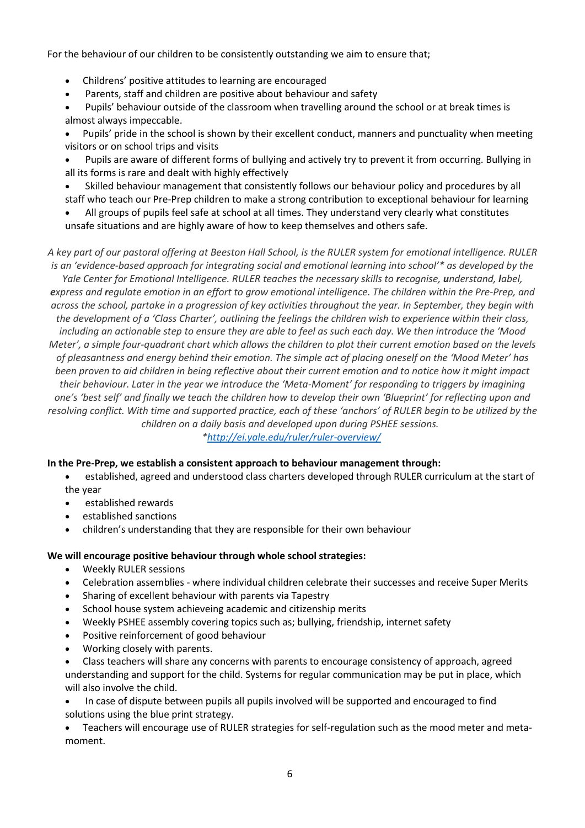For the behaviour of our children to be consistently outstanding we aim to ensure that;

- Childrens' positive attitudes to learning are encouraged
- Parents, staff and children are positive about behaviour and safety

• Pupils' behaviour outside of the classroom when travelling around the school or at break times is almost always impeccable.

• Pupils' pride in the school is shown by their excellent conduct, manners and punctuality when meeting visitors or on school trips and visits

• Pupils are aware of different forms of bullying and actively try to prevent it from occurring. Bullying in all its forms is rare and dealt with highly effectively

• Skilled behaviour management that consistently follows our behaviour policy and procedures by all staff who teach our Pre-Prep children to make a strong contribution to exceptional behaviour for learning

• All groups of pupils feel safe at school at all times. They understand very clearly what constitutes unsafe situations and are highly aware of how to keep themselves and others safe.

*A key part of our pastoral offering at Beeston Hall School, is the RULER system for emotional intelligence. RULER is an 'evidence-based approach for integrating social and emotional learning into school'\* as developed by the Yale Center for Emotional Intelligence. RULER teaches the necessary skills to recognise, understand, label, express and regulate emotion in an effort to grow emotional intelligence. The children within the Pre-Prep, and across the school, partake in a progression of key activities throughout the year. In September, they begin with the development of a 'Class Charter', outlining the feelings the children wish to experience within their class, including an actionable step to ensure they are able to feel as such each day. We then introduce the 'Mood Meter', a simple four-quadrant chart which allows the children to plot their current emotion based on the levels of pleasantness and energy behind their emotion. The simple act of placing oneself on the 'Mood Meter' has been proven to aid children in being reflective about their current emotion and to notice how it might impact their behaviour. Later in the year we introduce the 'Meta-Moment' for responding to triggers by imagining one's 'best self' and finally we teach the children how to develop their own 'Blueprint' for reflecting upon and resolving conflict. With time and supported practice, each of these 'anchors' of RULER begin to be utilized by the children on a daily basis and developed upon during PSHEE sessions.*

*[\\*http://ei.yale.edu/ruler/ruler-overview/](http://ei.yale.edu/ruler/ruler-overview/)*

# **In the Pre-Prep, we establish a consistent approach to behaviour management through:**

- established, agreed and understood class charters developed through RULER curriculum at the start of the year
- established rewards
- established sanctions
- children's understanding that they are responsible for their own behaviour

# **We will encourage positive behaviour through whole school strategies:**

- Weekly RULER sessions
- Celebration assemblies where individual children celebrate their successes and receive Super Merits
- Sharing of excellent behaviour with parents via Tapestry
- School house system achieveing academic and citizenship merits
- Weekly PSHEE assembly covering topics such as; bullying, friendship, internet safety
- Positive reinforcement of good behaviour
- Working closely with parents.

• Class teachers will share any concerns with parents to encourage consistency of approach, agreed understanding and support for the child. Systems for regular communication may be put in place, which will also involve the child.

• In case of dispute between pupils all pupils involved will be supported and encouraged to find solutions using the blue print strategy.

• Teachers will encourage use of RULER strategies for self-regulation such as the mood meter and metamoment.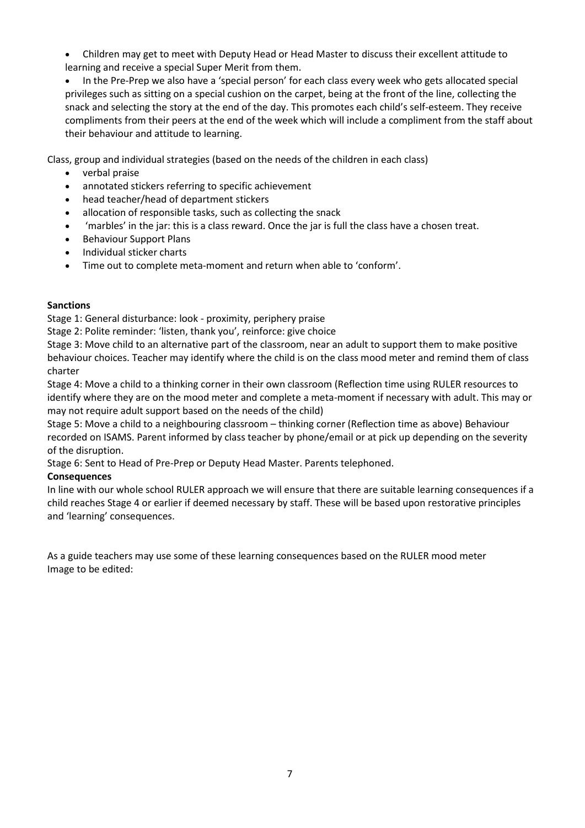• Children may get to meet with Deputy Head or Head Master to discuss their excellent attitude to learning and receive a special Super Merit from them.

• In the Pre-Prep we also have a 'special person' for each class every week who gets allocated special privileges such as sitting on a special cushion on the carpet, being at the front of the line, collecting the snack and selecting the story at the end of the day. This promotes each child's self-esteem. They receive compliments from their peers at the end of the week which will include a compliment from the staff about their behaviour and attitude to learning.

Class, group and individual strategies (based on the needs of the children in each class)

- verbal praise
- annotated stickers referring to specific achievement
- head teacher/head of department stickers
- allocation of responsible tasks, such as collecting the snack
- 'marbles' in the jar: this is a class reward. Once the jar is full the class have a chosen treat.
- Behaviour Support Plans
- Individual sticker charts
- Time out to complete meta-moment and return when able to 'conform'.

### **Sanctions**

Stage 1: General disturbance: look - proximity, periphery praise

Stage 2: Polite reminder: 'listen, thank you', reinforce: give choice

Stage 3: Move child to an alternative part of the classroom, near an adult to support them to make positive behaviour choices. Teacher may identify where the child is on the class mood meter and remind them of class charter

Stage 4: Move a child to a thinking corner in their own classroom (Reflection time using RULER resources to identify where they are on the mood meter and complete a meta-moment if necessary with adult. This may or may not require adult support based on the needs of the child)

Stage 5: Move a child to a neighbouring classroom – thinking corner (Reflection time as above) Behaviour recorded on ISAMS. Parent informed by class teacher by phone/email or at pick up depending on the severity of the disruption.

Stage 6: Sent to Head of Pre-Prep or Deputy Head Master. Parents telephoned.

# **Consequences**

In line with our whole school RULER approach we will ensure that there are suitable learning consequences if a child reaches Stage 4 or earlier if deemed necessary by staff. These will be based upon restorative principles and 'learning' consequences.

As a guide teachers may use some of these learning consequences based on the RULER mood meter Image to be edited: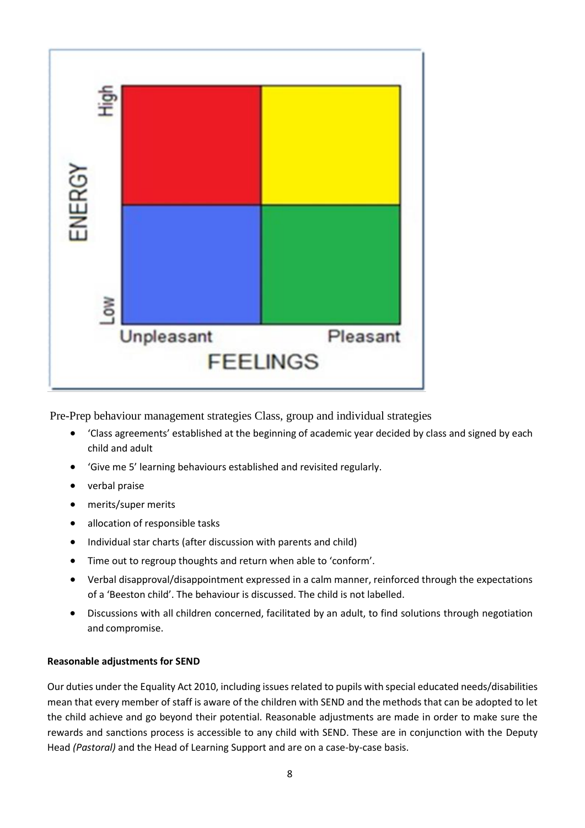

Pre-Prep behaviour management strategies Class, group and individual strategies

- 'Class agreements' established at the beginning of academic year decided by class and signed by each child and adult
- 'Give me 5' learning behaviours established and revisited regularly.
- verbal praise
- merits/super merits
- allocation of responsible tasks
- Individual star charts (after discussion with parents and child)
- Time out to regroup thoughts and return when able to 'conform'.
- Verbal disapproval/disappointment expressed in a calm manner, reinforced through the expectations of a 'Beeston child'. The behaviour is discussed. The child is not labelled.
- Discussions with all children concerned, facilitated by an adult, to find solutions through negotiation and compromise.

### **Reasonable adjustments for SEND**

Our duties under the Equality Act 2010, including issues related to pupils with special educated needs/disabilities mean that every member of staff is aware of the children with SEND and the methods that can be adopted to let the child achieve and go beyond their potential. Reasonable adjustments are made in order to make sure the rewards and sanctions process is accessible to any child with SEND. These are in conjunction with the Deputy Head *(Pastoral)* and the Head of Learning Support and are on a case-by-case basis.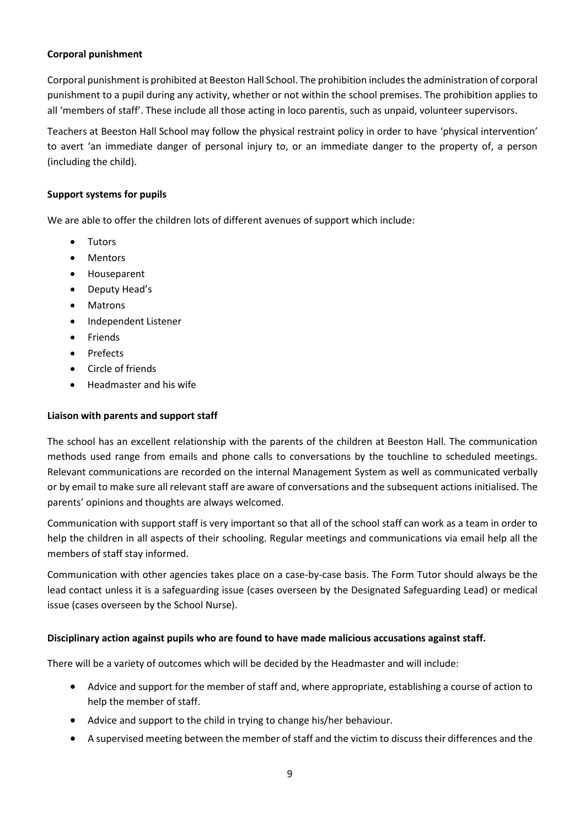# **Corporal punishment**

Corporal punishment is prohibited at Beeston Hall School. The prohibition includes the administration of corporal punishment to a pupil during any activity, whether or not within the school premises. The prohibition applies to all 'members of staff'. These include all those acting in loco parentis, such as unpaid, volunteer supervisors.

Teachers at Beeston Hall School may follow the physical restraint policy in order to have 'physical intervention' to avert 'an immediate danger of personal injury to, or an immediate danger to the property of, a person (including the child).

# **Support systems for pupils**

We are able to offer the children lots of different avenues of support which include:

- Tutors
- Mentors
- Houseparent
- Deputy Head's
- Matrons
- Independent Listener
- Friends
- Prefects
- Circle of friends
- Headmaster and his wife

# **Liaison with parents and support staff**

The school has an excellent relationship with the parents of the children at Beeston Hall. The communication methods used range from emails and phone calls to conversations by the touchline to scheduled meetings. Relevant communications are recorded on the internal Management System as well as communicated verbally or by email to make sure all relevant staff are aware of conversations and the subsequent actions initialised. The parents' opinions and thoughts are always welcomed.

Communication with support staff is very important so that all of the school staff can work as a team in order to help the children in all aspects of their schooling. Regular meetings and communications via email help all the members of staff stay informed.

Communication with other agencies takes place on a case-by-case basis. The Form Tutor should always be the lead contact unless it is a safeguarding issue (cases overseen by the Designated Safeguarding Lead) or medical issue (cases overseen by the School Nurse).

# **Disciplinary action against pupils who are found to have made malicious accusations against staff.**

There will be a variety of outcomes which will be decided by the Headmaster and will include:

- Advice and support for the member of staff and, where appropriate, establishing a course of action to help the member of staff.
- Advice and support to the child in trying to change his/her behaviour.
- A supervised meeting between the member of staff and the victim to discuss their differences and the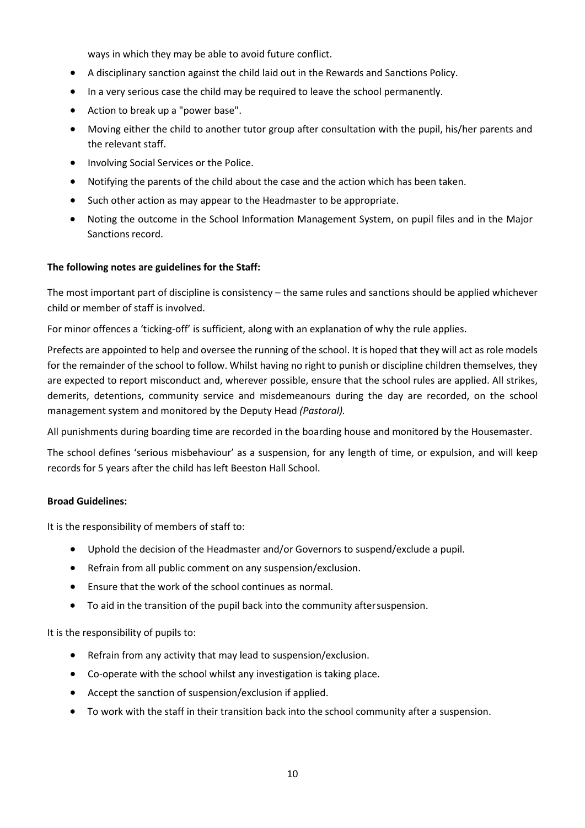ways in which they may be able to avoid future conflict.

- A disciplinary sanction against the child laid out in the Rewards and Sanctions Policy.
- In a very serious case the child may be required to leave the school permanently.
- Action to break up a "power base".
- Moving either the child to another tutor group after consultation with the pupil, his/her parents and the relevant staff.
- Involving Social Services or the Police.
- Notifying the parents of the child about the case and the action which has been taken.
- Such other action as may appear to the Headmaster to be appropriate.
- Noting the outcome in the School Information Management System, on pupil files and in the Major Sanctions record.

### **The following notes are guidelines for the Staff:**

The most important part of discipline is consistency – the same rules and sanctions should be applied whichever child or member of staff is involved.

For minor offences a 'ticking-off' is sufficient, along with an explanation of why the rule applies.

Prefects are appointed to help and oversee the running of the school. It is hoped that they will act as role models for the remainder of the school to follow. Whilst having no right to punish or discipline children themselves, they are expected to report misconduct and, wherever possible, ensure that the school rules are applied. All strikes, demerits, detentions, community service and misdemeanours during the day are recorded, on the school management system and monitored by the Deputy Head *(Pastoral).*

All punishments during boarding time are recorded in the boarding house and monitored by the Housemaster.

The school defines 'serious misbehaviour' as a suspension, for any length of time, or expulsion, and will keep records for 5 years after the child has left Beeston Hall School.

### **Broad Guidelines:**

It is the responsibility of members of staff to:

- Uphold the decision of the Headmaster and/or Governors to suspend/exclude a pupil.
- Refrain from all public comment on any suspension/exclusion.
- Ensure that the work of the school continues as normal.
- To aid in the transition of the pupil back into the community aftersuspension.

It is the responsibility of pupils to:

- Refrain from any activity that may lead to suspension/exclusion.
- Co-operate with the school whilst any investigation is taking place.
- Accept the sanction of suspension/exclusion if applied.
- To work with the staff in their transition back into the school community after a suspension.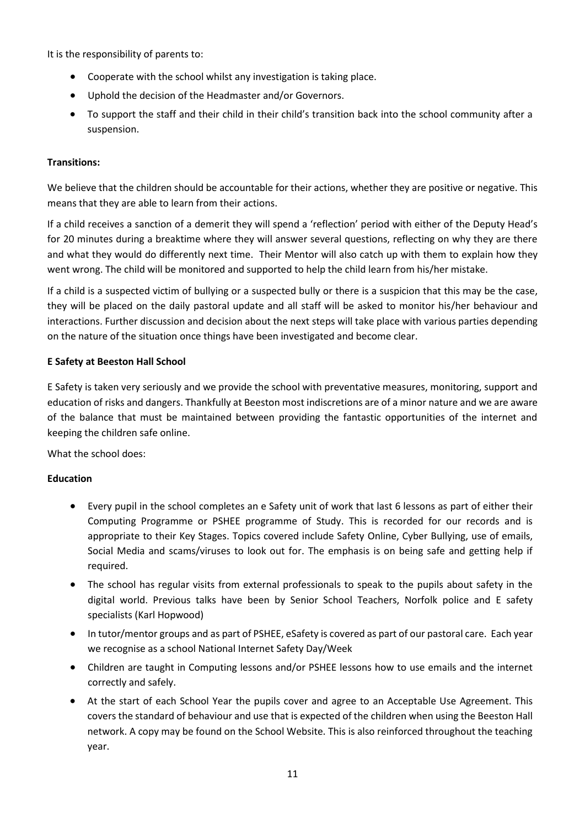It is the responsibility of parents to:

- Cooperate with the school whilst any investigation is taking place.
- Uphold the decision of the Headmaster and/or Governors.
- To support the staff and their child in their child's transition back into the school community after a suspension.

# **Transitions:**

We believe that the children should be accountable for their actions, whether they are positive or negative. This means that they are able to learn from their actions.

If a child receives a sanction of a demerit they will spend a 'reflection' period with either of the Deputy Head's for 20 minutes during a breaktime where they will answer several questions, reflecting on why they are there and what they would do differently next time. Their Mentor will also catch up with them to explain how they went wrong. The child will be monitored and supported to help the child learn from his/her mistake.

If a child is a suspected victim of bullying or a suspected bully or there is a suspicion that this may be the case, they will be placed on the daily pastoral update and all staff will be asked to monitor his/her behaviour and interactions. Further discussion and decision about the next steps will take place with various parties depending on the nature of the situation once things have been investigated and become clear.

# **E Safety at Beeston Hall School**

E Safety is taken very seriously and we provide the school with preventative measures, monitoring, support and education of risks and dangers. Thankfully at Beeston most indiscretions are of a minor nature and we are aware of the balance that must be maintained between providing the fantastic opportunities of the internet and keeping the children safe online.

What the school does:

# **Education**

- Every pupil in the school completes an e Safety unit of work that last 6 lessons as part of either their Computing Programme or PSHEE programme of Study. This is recorded for our records and is appropriate to their Key Stages. Topics covered include Safety Online, Cyber Bullying, use of emails, Social Media and scams/viruses to look out for. The emphasis is on being safe and getting help if required.
- The school has regular visits from external professionals to speak to the pupils about safety in the digital world. Previous talks have been by Senior School Teachers, Norfolk police and E safety specialists (Karl Hopwood)
- In tutor/mentor groups and as part of PSHEE, eSafety is covered as part of our pastoral care. Each year we recognise as a school National Internet Safety Day/Week
- Children are taught in Computing lessons and/or PSHEE lessons how to use emails and the internet correctly and safely.
- At the start of each School Year the pupils cover and agree to an Acceptable Use Agreement. This covers the standard of behaviour and use that is expected of the children when using the Beeston Hall network. A copy may be found on the School Website. This is also reinforced throughout the teaching year.